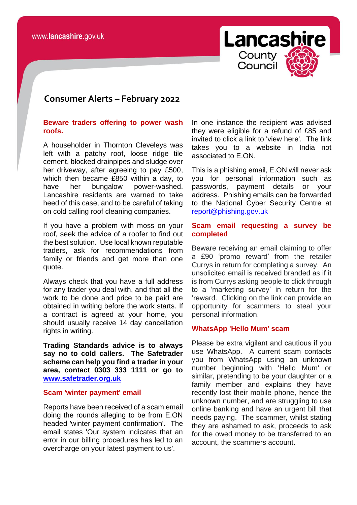

# **consomer Consumer Alerts – February 2022**

## **Beware traders offering to power wash roofs.**

A householder in Thornton Cleveleys was left with a patchy roof, loose ridge tile cement, blocked drainpipes and sludge over her driveway, after agreeing to pay £500, which then became £850 within a day, to have her bungalow power-washed. Lancashire residents are warned to take heed of this case, and to be careful of taking on cold calling roof cleaning companies.

If you have a problem with moss on your roof, seek the advice of a roofer to find out the best solution. Use local known reputable traders, ask for recommendations from family or friends and get more than one quote.

Always check that you have a full address for any trader you deal with, and that all the work to be done and price to be paid are obtained in writing before the work starts. If a contract is agreed at your home, you should usually receive 14 day cancellation rights in writing.

**Trading Standards advice is to always say no to cold callers. The Safetrader scheme can help you find a trader in your area, contact 0303 333 1111 or go to [www.safetrader.org.uk](http://www.safetrader.org.uk/)**

#### **Scam 'winter payment' email**

Reports have been received of a scam email doing the rounds alleging to be from E.ON headed 'winter payment confirmation'. The email states 'Our system indicates that an error in our billing procedures has led to an overcharge on your latest payment to us'.

In one instance the recipient was advised they were eligible for a refund of £85 and invited to click a link to 'view here'. The link takes you to a website in India not associated to E.ON.

This is a phishing email, E.ON will never ask you for personal information such as passwords, payment details or your address. Phishing emails can be forwarded to the National Cyber Security Centre at [report@phishing.gov.uk](mailto:report@phishing.gov.uk)

# **Scam email requesting a survey be completed**

Beware receiving an email claiming to offer a £90 'promo reward' from the retailer Currys in return for completing a survey. An unsolicited email is received branded as if it is from Currys asking people to click through to a 'marketing survey' in return for the 'reward. Clicking on the link can provide an opportunity for scammers to steal your personal information.

# **WhatsApp 'Hello Mum' scam**

Please be extra vigilant and cautious if you use WhatsApp. A current scam contacts you from WhatsApp using an unknown number beginning with 'Hello Mum' or similar, pretending to be your daughter or a family member and explains they have recently lost their mobile phone, hence the unknown number, and are struggling to use online banking and have an urgent bill that needs paying. The scammer, whilst stating they are ashamed to ask, proceeds to ask for the owed money to be transferred to an account, the scammers account.